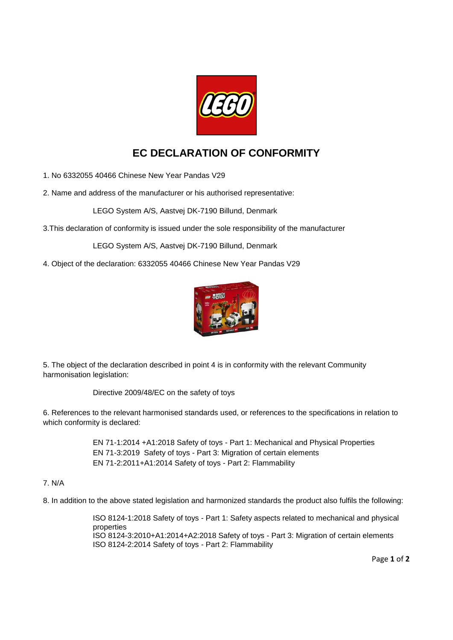

## **EC DECLARATION OF CONFORMITY**

1. No 6332055 40466 Chinese New Year Pandas V29

2. Name and address of the manufacturer or his authorised representative:

LEGO System A/S, Aastvej DK-7190 Billund, Denmark

3.This declaration of conformity is issued under the sole responsibility of the manufacturer

LEGO System A/S, Aastvej DK-7190 Billund, Denmark

4. Object of the declaration: 6332055 40466 Chinese New Year Pandas V29



5. The object of the declaration described in point 4 is in conformity with the relevant Community harmonisation legislation:

Directive 2009/48/EC on the safety of toys

6. References to the relevant harmonised standards used, or references to the specifications in relation to which conformity is declared:

> EN 71-1:2014 +A1:2018 Safety of toys - Part 1: Mechanical and Physical Properties EN 71-3:2019 Safety of toys - Part 3: Migration of certain elements EN 71-2:2011+A1:2014 Safety of toys - Part 2: Flammability

## 7. N/A

8. In addition to the above stated legislation and harmonized standards the product also fulfils the following:

ISO 8124-1:2018 Safety of toys - Part 1: Safety aspects related to mechanical and physical properties ISO 8124-3:2010+A1:2014+A2:2018 Safety of toys - Part 3: Migration of certain elements ISO 8124-2:2014 Safety of toys - Part 2: Flammability

Page **1** of **2**